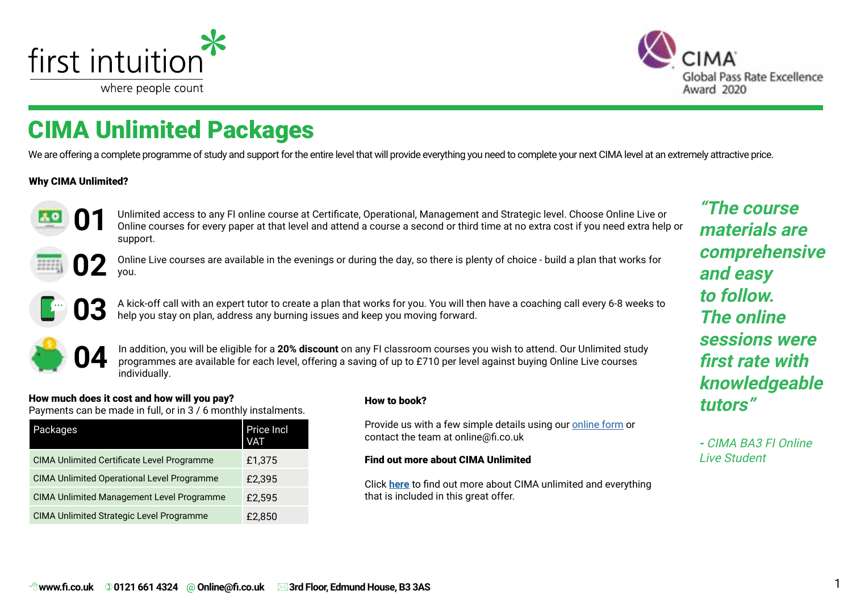<span id="page-0-0"></span>



# CIMA Unlimited Packages

We are offering a complete programme of study and support for the entire level that will provide everything you need to complete your next CIMA level at an extremely attractive price.

#### Why CIMA Unlimited?



Unlimited access to any FI online course at Certificate, Operational, Management and Strategic level. Choose Online Live or Online courses for every paper at that level and attend a course a second or third time at no extra cost if you need extra help or support.



Online Live courses are available in the evenings or during the day, so there is plenty of choice - build a plan that works for you.



A kick-off call with an expert tutor to create a plan that works for you. You will then have a coaching call every 6-8 weeks to help you stay on plan, address any burning issues and keep you moving forward.



In addition, you will be eligible for a **20% discount** on any FI classroom courses you wish to attend. Our Unlimited study programmes are available for each level, offering a saving of up to £710 per level against buying Online Live courses individually.

#### How much does it cost and how will you pay?

Payments can be made in full, or in 3 / 6 monthly instalments.

| Packages                                          | Price Incl<br>VAT |
|---------------------------------------------------|-------------------|
| <b>CIMA Unlimited Certificate Level Programme</b> | £1,375            |
| <b>CIMA Unlimited Operational Level Programme</b> | £2,395            |
| <b>CIMA Unlimited Management Level Programme</b>  | £2,595            |
| <b>CIMA Unlimited Strategic Level Programme</b>   | £2,850            |

#### How to book?

Provide us with a few simple details using our [online form](https://www.firstintuition.co.uk/fihub/cima-2019-study-online-learning-at-fi-digital-learning-for-digital-finance/) or contact the team at online@fi.co.uk

#### Find out more about CIMA Unlimited Eine Communication Cive Student

Click **[here](https://www.firstintuition.co.uk/fihub/study-cima-unlimited-with-fi/)** to find out more about CIMA unlimited and everything that is included in this great offer.

**"The course materials are comprehensive and easy to follow. The online sessions were first rate with knowledgeable tutors"**

**-** CIMA BA3 FI Online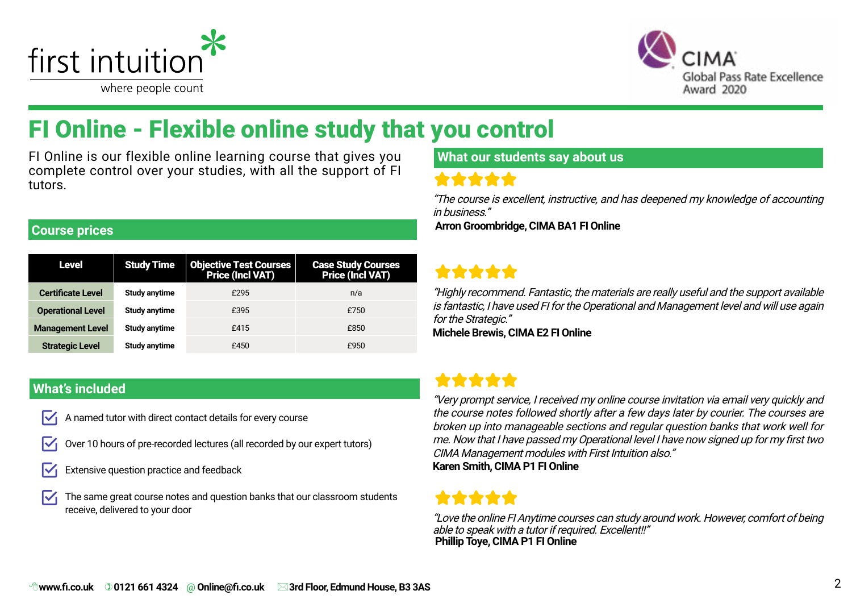<span id="page-1-0"></span>



# FI Online - Flexible online study that you control

FI Online is our flexible online learning course that gives you complete control over your studies, with all the support of FI tutors.

#### **Course prices**

| Level                    | <b>Study Time</b> | <b>Objective Test Courses<br/>Price (Incl VAT)</b> | <b>Case Study Courses<br/>Price (Incl VAT)</b> |
|--------------------------|-------------------|----------------------------------------------------|------------------------------------------------|
| <b>Certificate Level</b> | Study anytime     | £295                                               | n/a                                            |
| <b>Operational Level</b> | Study anytime     | £395                                               | £750                                           |
| <b>Management Level</b>  | Study anytime     | £415                                               | £850                                           |
| <b>Strategic Level</b>   | Study anytime     | £450                                               | £950                                           |

#### **What's included**

- A named tutor with direct contact details for every course M
- Over 10 hours of pre-recorded lectures (all recorded by our expert tutors)
- Extensive question practice and feedback
- The same great course notes and question banks that our classroom students IV receive, delivered to your door

### **What our students say about us**

### \*\*\*\*\*

"The course is excellent, instructive, and has deepened my knowledge of accounting in business."

 **Arron Groombridge, CIMA BA1 FI Online**

### \*\*\*\*\*

"Highly recommend. Fantastic, the materials are really useful and the support available is fantastic, I have used FI for the Operational and Management level and will use again for the Strategic."

**Michele Brewis, CIMA E2 FI Online**

### \*\*\*\*\*

"Very prompt service, I received my online course invitation via email very quickly and the course notes followed shortly after a few days later by courier. The courses are broken up into manageable sections and regular question banks that work well for me. Now that I have passed my Operational level I have now signed up for my first two CIMA Management modules with First Intuition also."

**Karen Smith, CIMA P1 FI Online**

"Love the online FI Anytime courses can study around work. However, comfort of being able to speak with a tutor if required. Excellent!!"  **Phillip Toye, CIMA P1 FI Online**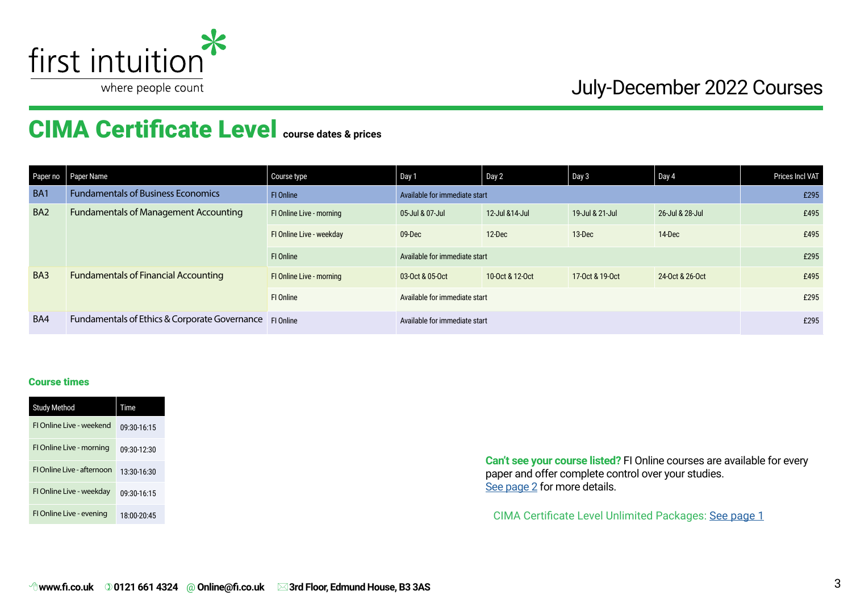

# CIMA Certificate Level **course dates & prices**

| Paper no        | Paper Name                                              | Course type              | Day 1                         | Day 2                         | Day 3           | Day 4           | Prices Incl VAT |  |  |
|-----------------|---------------------------------------------------------|--------------------------|-------------------------------|-------------------------------|-----------------|-----------------|-----------------|--|--|
| BA <sub>1</sub> | <b>Fundamentals of Business Economics</b>               | FI Online                |                               | Available for immediate start |                 |                 |                 |  |  |
| BA <sub>2</sub> | <b>Fundamentals of Management Accounting</b>            | FI Online Live - morning | 05-Jul & 07-Jul               | 12-Jul & 14-Jul               | 19-Jul & 21-Jul | 26-Jul & 28-Jul | £495            |  |  |
|                 |                                                         | FI Online Live - weekday | 09-Dec                        | 12-Dec                        | 13-Dec          | 14-Dec          | £495            |  |  |
|                 |                                                         | FI Online                | Available for immediate start | £295                          |                 |                 |                 |  |  |
| BA <sub>3</sub> | <b>Fundamentals of Financial Accounting</b>             | FI Online Live - morning | 03-Oct & 05-Oct               | 10-0ct & 12-0ct               | 17-0ct & 19-0ct | 24-Oct & 26-Oct | £495            |  |  |
|                 |                                                         | FI Online                | Available for immediate start | £295                          |                 |                 |                 |  |  |
| BA4             | Fundamentals of Ethics & Corporate Governance FI Online |                          | Available for immediate start |                               |                 |                 | £295            |  |  |

#### Course times

| <b>Study Method</b>        | Time        |
|----------------------------|-------------|
| FI Online Live - weekend   | 09:30-16:15 |
| FI Online Live - morning   | 09:30-12:30 |
| FI Online Live - afternoon | 13:30-16:30 |
| FI Online Live - weekday   | 09:30-16:15 |
| FI Online Live - evening   | 18:00-20:45 |

**Can't see your course listed?** FI Online courses are available for every paper and offer complete control over your studies. [See page 2](#page-1-0) for more details.

CIMA Certificate Level Unlimited Packages: [See page 1](#page-0-0)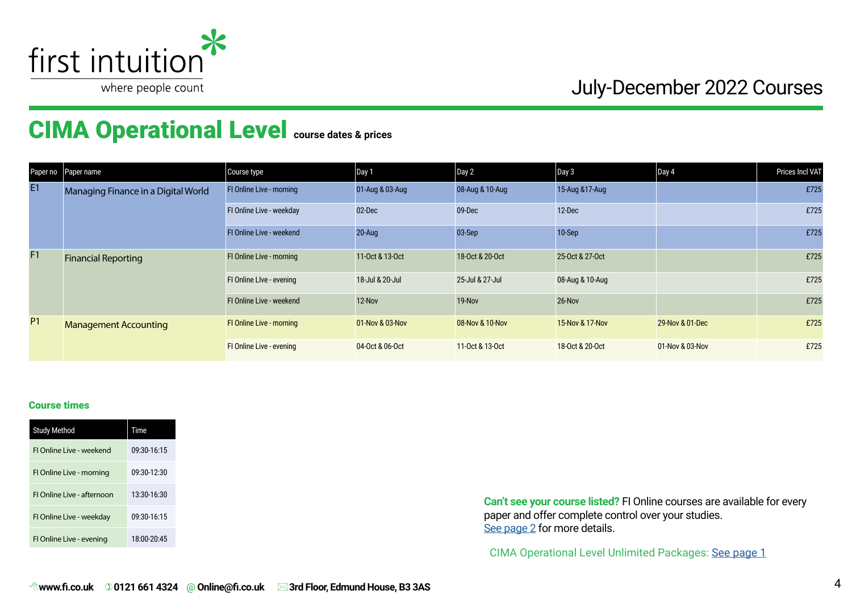

# CIMA Operational Level **course dates & prices**

|           | Paper no Paper name                 | Course type                     | Day 1           | Day 2           | Day 3           | $\vert$ Day 4   | Prices Incl VAT |
|-----------|-------------------------------------|---------------------------------|-----------------|-----------------|-----------------|-----------------|-----------------|
| E1        | Managing Finance in a Digital World | <b>FI Online Live - morning</b> | 01-Aug & 03-Aug | 08-Aug & 10-Aug | 15-Aug & 17-Aug |                 | £725            |
|           |                                     | FI Online Live - weekday        | 02-Dec          | 09-Dec          | 12-Dec          |                 | £725            |
|           |                                     | FI Online Live - weekend        | <b>20-Aug</b>   | 03-Sep          | 10-Sep          |                 | £725            |
| F1        | <b>Financial Reporting</b>          | FI Online Live - morning        | 11-Oct & 13-Oct | 18-Oct & 20-Oct | 25-Oct & 27-Oct |                 | £725            |
|           |                                     | FI Online Live - evening        | 18-Jul & 20-Jul | 25-Jul & 27-Jul | 08-Aug & 10-Aug |                 | £725            |
|           |                                     | FI Online Live - weekend        | 12-Nov          | 19-Nov          | 26-Nov          |                 | £725            |
| <b>P1</b> | <b>Management Accounting</b>        | <b>FI Online Live - morning</b> | 01-Nov & 03-Nov | 08-Nov & 10-Nov | 15-Nov & 17-Nov | 29-Nov & 01-Dec | £725            |
|           |                                     | FI Online Live - evening        | 04-Oct & 06-Oct | 11-0ct & 13-0ct | 18-Oct & 20-Oct | 01-Nov & 03-Nov | £725            |

#### Course times

| <b>Study Method</b>        | <b>Time</b> |
|----------------------------|-------------|
| FLOnline Live - weekend    | 09:30-16:15 |
| FI Online Live - morning   | 09:30-12:30 |
| El Online Live - afternoon | 13:30-16:30 |
| FI Online Live - weekday   | 09:30-16:15 |
| FI Online Live - evening   | 18:00-20:45 |

**Can't see your course listed?** FI Online courses are available for every paper and offer complete control over your studies. [See page 2](#page-1-0) for more details.

CIMA Operational Level Unlimited Packages: [See page](#page-0-0) 1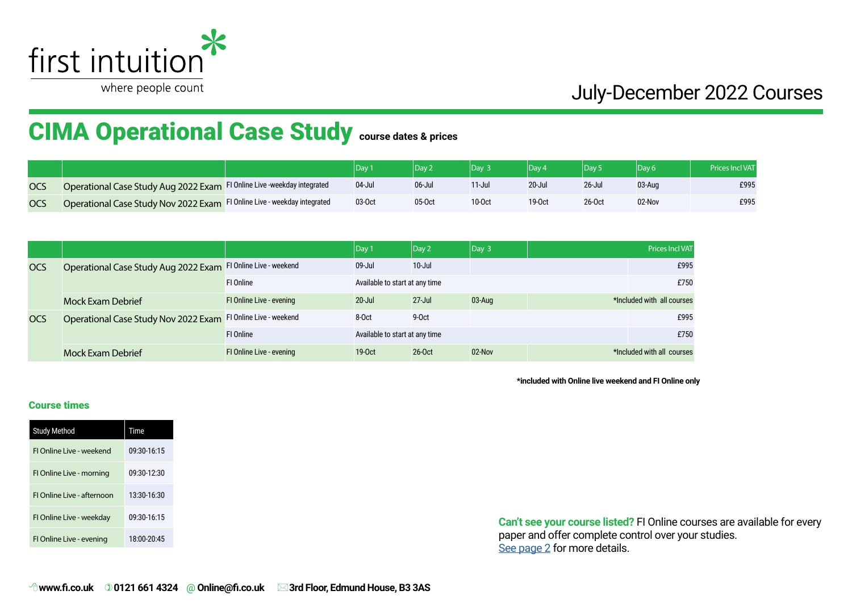

# CIMA Operational Case Study **course dates & prices**

|            |                                                                          |           |        | Dav <sup>1</sup> | $\mathsf{Dav} \cdot$ |            | Dav (  | <b>Prices Incl VAT</b> |
|------------|--------------------------------------------------------------------------|-----------|--------|------------------|----------------------|------------|--------|------------------------|
| <b>OCS</b> | Operational Case Study Aug 2022 Exam FI Online Live -weekday integrated  | $04$ -Jul | 06-Jul | 11-Jul           | $20 -$ Jul           | $26 -$ Jul | 03-Aug | £995                   |
| <b>OCS</b> | Operational Case Study Nov 2022 Exam FI Online Live - weekday integrated | 03-Oct    | 05-Oct | 10-0ct           | 19-0 <sub>ct</sub>   | 26-Oct     | 02-Nov | £995                   |

|            |                                                               |                          | $ $ Day 1                      | $ $ Day 2  | $\vert$ Day 3 | <b>Prices Incl VAT</b>     |
|------------|---------------------------------------------------------------|--------------------------|--------------------------------|------------|---------------|----------------------------|
| <b>OCS</b> | Operational Case Study Aug 2022 Exam FI Online Live - weekend |                          | $09 -$ Jul                     | $10 -$ Jul |               | £995                       |
|            |                                                               | FI Online                | Available to start at any time |            |               | £750                       |
|            | <b>Mock Exam Debrief</b>                                      | FI Online Live - evening | $20 -$ Jul                     | $27 -$ Jul | 03-Aug        | *Included with all courses |
| <b>OCS</b> | Operational Case Study Nov 2022 Exam FI Online Live - weekend |                          | 8-Oct                          | 9-Oct      |               | £995                       |
|            |                                                               | FI Online                | Available to start at any time |            |               | £750                       |
|            | <b>Mock Exam Debrief</b>                                      | FI Online Live - evening | $19-0ct$                       | 26-Oct     | $02$ -Nov     | *Included with all courses |

**\*included with Online live weekend and FI Online only**

#### Course times

| <b>Study Method</b>        | Time        |
|----------------------------|-------------|
| FI Online Live - weekend   | 09:30-16:15 |
| FI Online Live - morning   | 09:30-12:30 |
| FI Online Live - afternoon | 13:30-16:30 |
| FI Online Live - weekday   | 09:30-16:15 |
| FI Online Live - evening   | 18:00-20:45 |

**Can't see your course listed?** FI Online courses are available for every paper and offer complete control over your studies. See page 2 for more details.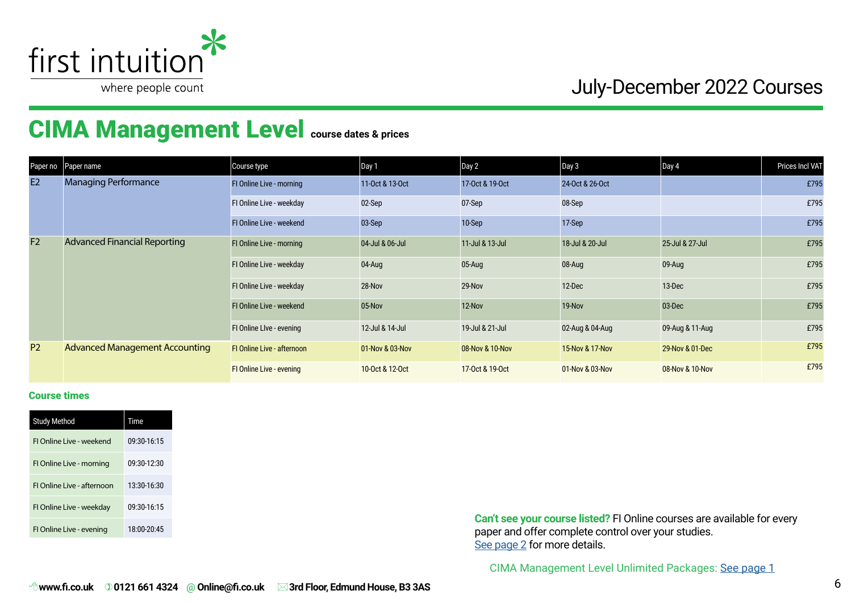

# CIMA Management Level **course dates & prices**

| Paper no       | Paper name                            | Course type                       | Day 1           | Day 2           | Day 3           | $\vert$ Day 4   | Prices Incl VAT |
|----------------|---------------------------------------|-----------------------------------|-----------------|-----------------|-----------------|-----------------|-----------------|
| E2             | <b>Managing Performance</b>           | FI Online Live - morning          | 11-Oct & 13-Oct | 17-0ct & 19-0ct | 24-Oct & 26-Oct |                 | £795            |
|                |                                       | FI Online Live - weekday          | 02-Sep          | 07-Sep          | 08-Sep          |                 | £795            |
|                |                                       | FI Online Live - weekend          | 03-Sep          | 10-Sep          | 17-Sep          |                 | £795            |
| F <sub>2</sub> | <b>Advanced Financial Reporting</b>   | FI Online Live - morning          | 04-Jul & 06-Jul | 11-Jul & 13-Jul | 18-Jul & 20-Jul | 25-Jul & 27-Jul | £795            |
|                |                                       | FI Online Live - weekday          | 04-Aug          | 05-Aug          | 08-Aug          | 09-Aug          | £795            |
|                |                                       | FI Online Live - weekday          | 28-Nov          | 29-Nov          | 12-Dec          | 13-Dec          | £795            |
|                |                                       | FI Online Live - weekend          | 05-Nov          | 12-Nov          | 19-Nov          | 03-Dec          | £795            |
|                |                                       | FI Online Live - evening          | 12-Jul & 14-Jul | 19-Jul & 21-Jul | 02-Aug & 04-Aug | 09-Aug & 11-Aug | £795            |
| <b>P2</b>      | <b>Advanced Management Accounting</b> | <b>FI Online Live - afternoon</b> | 01-Nov & 03-Nov | 08-Nov & 10-Nov | 15-Nov & 17-Nov | 29-Nov & 01-Dec | £795            |
|                |                                       | FI Online Live - evening          | 10-Oct & 12-Oct | 17-Oct & 19-Oct | 01-Nov & 03-Nov | 08-Nov & 10-Nov | £795            |

#### Course times

| <b>Study Method</b>        | Time        |
|----------------------------|-------------|
| FI Online Live - weekend   | 09:30-16:15 |
| FI Online Live - morning   | 09:30-12:30 |
| El Online Live - afternoon | 13:30-16:30 |
| FI Online Live - weekday   | 09:30-16:15 |
| FI Online Live - evening   | 18:00-20:45 |

**Can't see your course listed?** FI Online courses are available for every paper and offer complete control over your studies. [See page 2](#page-1-0) for more details.

CIMA Management Level Unlimited Packages: [See page 1](#page-0-0)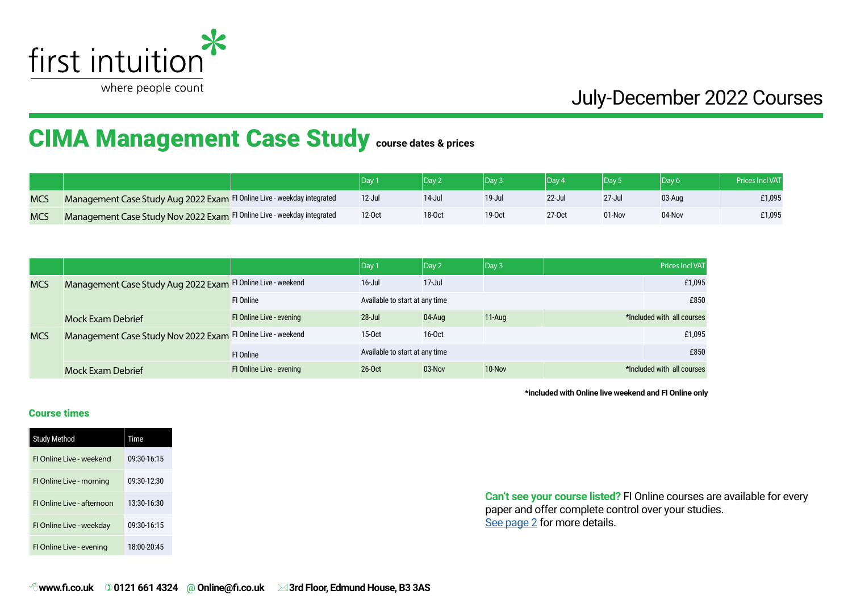

# CIMA Management Case Study **course dates & prices**

|            |                                                                         | Day       |            |        | Dav <sup>1</sup> | Dav <sup>1</sup> |        |        |
|------------|-------------------------------------------------------------------------|-----------|------------|--------|------------------|------------------|--------|--------|
| <b>MCS</b> | Management Case Study Aug 2022 Exam FI Online Live - weekday integrated | $12$ -Jul | $14$ -Jul  | 19-Jul | 22-Jul           | $27 -$ Jul       | 03-Aua | £1,095 |
| <b>MCS</b> | Management Case Study Nov 2022 Exam FI Online Live - weekday integrated | 12-0ct    | $18 - Oct$ | 19-0ct | 27-0ct           | 01-Nov           | 04-Nov | £1,095 |

|            |                                                              |                                 | $\vert$ Day 1                  | Day 2      | $ $ Day 3 |  | Prices Incl VAT            |
|------------|--------------------------------------------------------------|---------------------------------|--------------------------------|------------|-----------|--|----------------------------|
| <b>MCS</b> | Management Case Study Aug 2022 Exam FI Online Live - weekend |                                 | $16 -$ Jul                     | $17 -$ Jul |           |  | £1,095                     |
|            |                                                              | <b>FI Online</b>                | Available to start at any time |            |           |  | £850                       |
|            | <b>Mock Exam Debrief</b>                                     | <b>FI Online Live - evening</b> | $28 -$ Jul                     | 04-Aug     | $11-Auq$  |  | *Included with all courses |
| <b>MCS</b> | Management Case Study Nov 2022 Exam FI Online Live - weekend |                                 | $15-0ct$                       | $16-0ct$   |           |  | £1,095                     |
|            |                                                              | <b>FI Online</b>                | Available to start at any time |            |           |  | £850                       |
|            | <b>Mock Exam Debrief</b>                                     | FI Online Live - evening        | $26 - Oct$                     | 03-Nov     | 10-Nov    |  | *Included with all courses |

**\*included with Online live weekend and FI Online only**

#### Course times

| <b>Study Method</b>        | <b>Time</b> |
|----------------------------|-------------|
| FLOnline Live - weekend    | 09:30-16:15 |
| FI Online Live - morning   | 09:30-12:30 |
| El Online Live - afternoon | 13:30-16:30 |
| FI Online Live - weekday   | 09:30-16:15 |
| FI Online Live - evening   | 18:00-20:45 |

**Can't see your course listed?** FI Online courses are available for every paper and offer complete control over your studies. [See page 2](#page-1-0) for more details.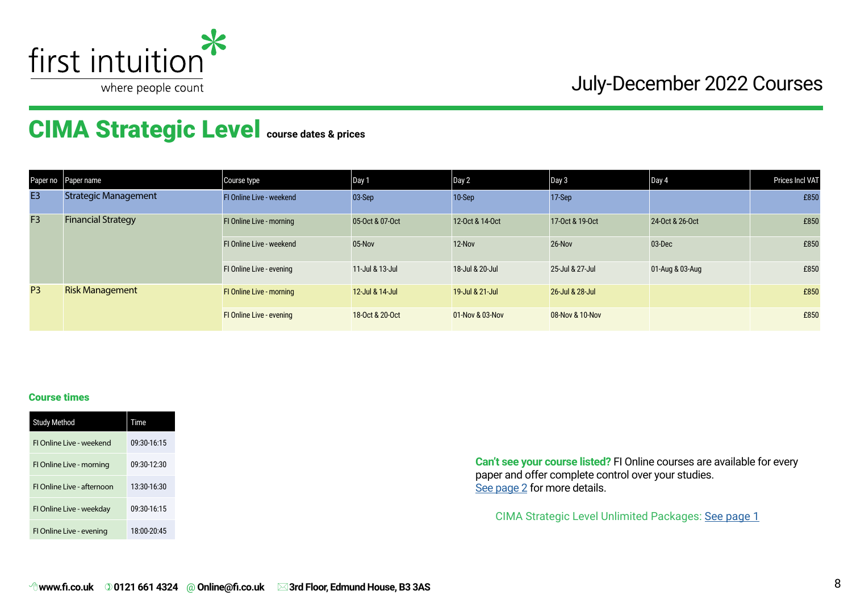

# CIMA Strategic Level **course dates & prices**

| Paper no       | Paper name                  | Course type                     | Day 1           | Day 2           | Day 3           | Day 4           | <b>Prices Incl VAT</b> |
|----------------|-----------------------------|---------------------------------|-----------------|-----------------|-----------------|-----------------|------------------------|
| E <sub>3</sub> | <b>Strategic Management</b> | FI Online Live - weekend        | $03-Sep$        | 10-Sep          | 17-Sep          |                 | £850                   |
| F <sub>3</sub> | <b>Financial Strategy</b>   | FI Online Live - morning        | 05-Oct & 07-Oct | 12-Oct & 14-Oct | 17-0ct & 19-0ct | 24-0ct & 26-0ct | £850                   |
|                |                             | FI Online Live - weekend        | 05-Nov          | 12-Nov          | 26-Nov          | 03-Dec          | £850                   |
|                |                             | FI Online Live - evening        | 11-Jul & 13-Jul | 18-Jul & 20-Jul | 25-Jul & 27-Jul | 01-Aug & 03-Aug | £850                   |
| P <sub>3</sub> | <b>Risk Management</b>      | <b>FI Online Live - morning</b> | 12-Jul & 14-Jul | 19-Jul & 21-Jul | 26-Jul & 28-Jul |                 | £850                   |
|                |                             | <b>FI Online Live - evening</b> | 18-Oct & 20-Oct | 01-Nov & 03-Nov | 08-Nov & 10-Nov |                 | £850                   |

#### Course times

| <b>Study Method</b>        | Time        |
|----------------------------|-------------|
| FLOnline Live - weekend    | 09:30-16:15 |
| FI Online Live - morning   | 09:30-12:30 |
| FI Online Live - afternoon | 13:30-16:30 |
| FI Online Live - weekday   | 09:30-16:15 |
| FI Online Live - evening   | 18:00-20:45 |

**Can't see your course listed?** FI Online courses are available for every paper and offer complete control over your studies. [See page 2](#page-1-0) for more details.

CIMA Strategic Level Unlimited Packages: [See page](#page-0-0) 1